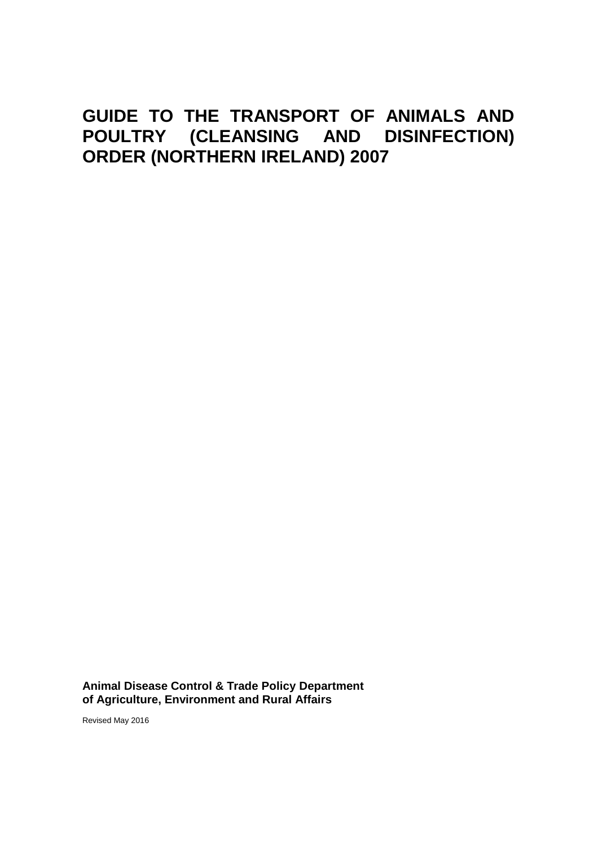# **GUIDE TO THE TRANSPORT OF ANIMALS AND POULTRY (CLEANSING AND DISINFECTION) ORDER (NORTHERN IRELAND) 2007**

**Animal Disease Control & Trade Policy Department of Agriculture, Environment and Rural Affairs** 

Revised May 2016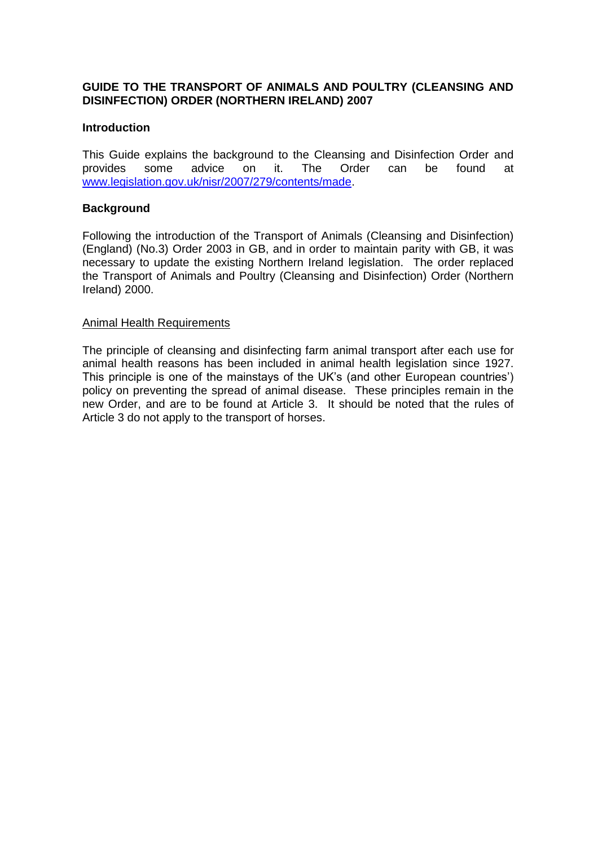## **GUIDE TO THE TRANSPORT OF ANIMALS AND POULTRY (CLEANSING AND DISINFECTION) ORDER (NORTHERN IRELAND) 2007**

### **Introduction**

This Guide explains the background to the Cleansing and Disinfection Order and provides some advice on it. The Order can be found at [www.legislation.gov.uk/nisr/2007/279/contents/made.](http://www.legislation.gov.uk/nisr/2007/279/contents/made)

## **Background**

Following the introduction of the Transport of Animals (Cleansing and Disinfection) (England) (No.3) Order 2003 in GB, and in order to maintain parity with GB, it was necessary to update the existing Northern Ireland legislation. The order replaced the Transport of Animals and Poultry (Cleansing and Disinfection) Order (Northern Ireland) 2000.

### Animal Health Requirements

The principle of cleansing and disinfecting farm animal transport after each use for animal health reasons has been included in animal health legislation since 1927. This principle is one of the mainstays of the UK's (and other European countries') policy on preventing the spread of animal disease. These principles remain in the new Order, and are to be found at Article 3. It should be noted that the rules of Article 3 do not apply to the transport of horses.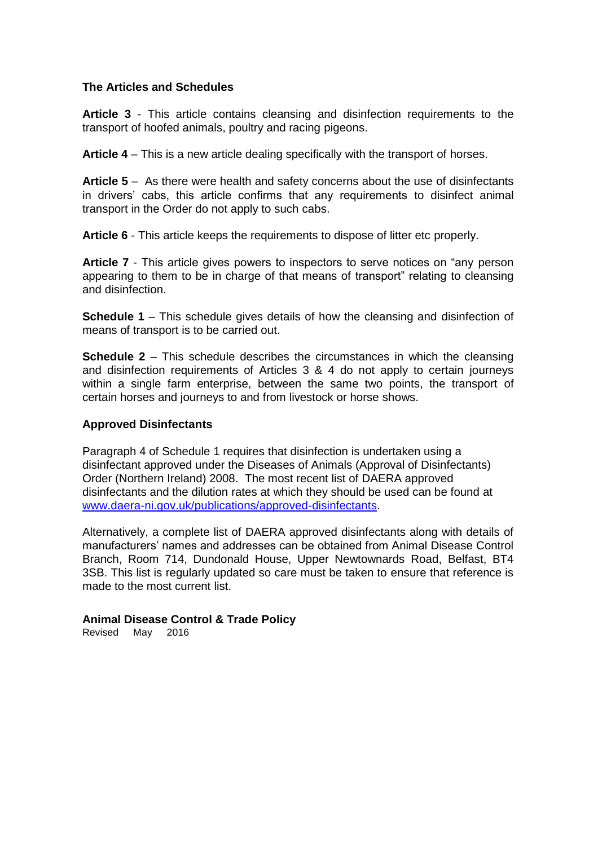## **The Articles and Schedules**

**Article 3** - This article contains cleansing and disinfection requirements to the transport of hoofed animals, poultry and racing pigeons.

**Article 4** – This is a new article dealing specifically with the transport of horses.

**Article 5** – As there were health and safety concerns about the use of disinfectants in drivers' cabs, this article confirms that any requirements to disinfect animal transport in the Order do not apply to such cabs.

**Article 6** - This article keeps the requirements to dispose of litter etc properly.

**Article 7** - This article gives powers to inspectors to serve notices on "any person appearing to them to be in charge of that means of transport" relating to cleansing and disinfection.

**Schedule 1** – This schedule gives details of how the cleansing and disinfection of means of transport is to be carried out.

**Schedule 2** – This schedule describes the circumstances in which the cleansing and disinfection requirements of Articles 3 & 4 do not apply to certain journeys within a single farm enterprise, between the same two points, the transport of certain horses and journeys to and from livestock or horse shows.

## **Approved Disinfectants**

Paragraph 4 of Schedule 1 requires that disinfection is undertaken using a disinfectant approved under the Diseases of Animals (Approval of Disinfectants) Order (Northern Ireland) 2008. The most recent list of DAERA approved disinfectants and the dilution rates at which they should be used can be found at [www.daera-ni.gov.uk/publications/approved-disinfectants.](www.daera-ni.gov.uk/publications/approved-disinfectants)

Alternatively, a complete list of DAERA approved disinfectants along with details of manufacturers' names and addresses can be obtained from Animal Disease Control Branch, Room 714, Dundonald House, Upper Newtownards Road, Belfast, BT4 3SB. This list is regularly updated so care must be taken to ensure that reference is made to the most current list.

**Animal Disease Control & Trade Policy**

Revised May 2016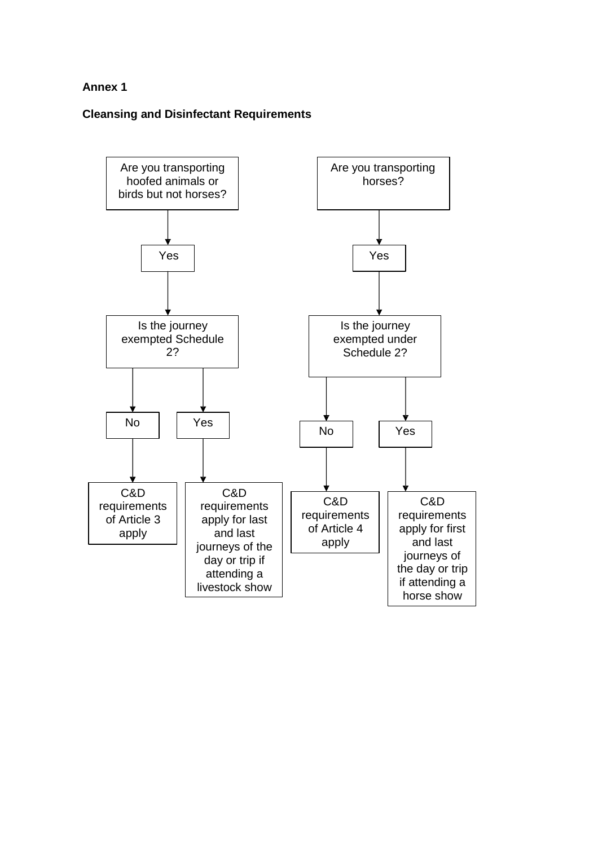## **Annex 1**

## **Cleansing and Disinfectant Requirements**